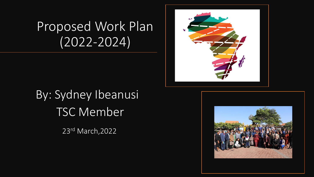## Proposed Work Plan (2022-2024)



# By: Sydney Ibeanusi TSC Member

23rd March,2022

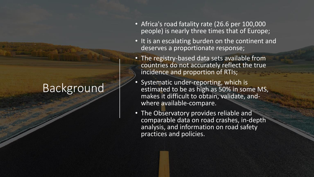## Background

- Africa's road fatality rate (26.6 per 100,000 people) is nearly three times that of Europe;
- It is an escalating burden on the continent and deserves a proportionate response;
- The registry-based data sets available from countries do not accurately reflect the true incidence and proportion of RTIs;
- Systematic under-reporting, which is estimated to be as high as 50% in some MS, makes it difficult to obtain, validate, andwhere available-compare.
- The Observatory provides reliable and comparable data on road crashes, in-depth analysis, and information on road safety practices and policies.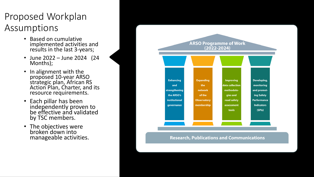#### Proposed Workplan Assumptions

- Based on cumulative implemented activities and results in the last 3-years;
- June 2022 June 2024 (24 Months);
- In alignment with the proposed 10-year ARSO strategic plan, African RS Action Plan, Charter, and its resource requirements.
- Each pillar has been independently proven to be effective and validated by TSC members.
- The objectives were broken down into manageable activities.



**Research, Publications and Communications**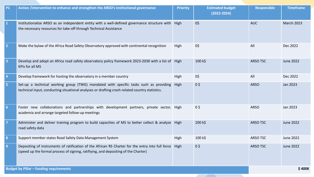| <b>P1</b>               | Action /intervention to enhance and strengthen the ARSO's institutional governance                                                                                                       | <b>Priority</b> | <b>Estimated budget</b><br>$(2022 - 2024)$ | <b>Responsible</b> | <b>Timeframe</b>  |
|-------------------------|------------------------------------------------------------------------------------------------------------------------------------------------------------------------------------------|-----------------|--------------------------------------------|--------------------|-------------------|
|                         | Institutionalize ARSO as an independent entity with a well-defined governance structure with<br>the necessary resources for take-off through Technical Assistance                        | High            | 0\$                                        | <b>AUC</b>         | <b>March 2023</b> |
| $\mathbf{2}$            | Make the bylaw of the Africa Road Safety Observatory approved with continental recognition                                                                                               | High            | 0\$                                        | All                | Dec 2022          |
| $\overline{\mathbf{3}}$ | Develop and adopt an Africa road safety observatory policy framework 2023-2030 with a list of High<br>KPIs for all MS                                                                    |                 | 100 k\$                                    | <b>ARSO TSC</b>    | June 2022         |
| $\overline{4}$          | Develop framework for hosting the observatory in a member country                                                                                                                        | High            | 0\$                                        | All                | Dec 2022          |
| $\overline{\mathbf{5}}$ | Set-up a technical working group (TWG) mandated with specific tasks such as providing<br>technical input, conducting situational analyses or drafting crash-related country statistics.  | High            | $0\sqrt{2}$                                | <b>ARSO</b>        | Jan 2023          |
| $6\phantom{1}6$         | Foster new collaborations and partnerships with development partners, private sector, High<br>academia and arrange targeted follow-up meetings                                           |                 | 0 <sup>5</sup>                             | <b>ARSO</b>        | Jan 2023          |
|                         | Administer and deliver training program to build capacities of MS to better collect & analyze   High<br>road safety data                                                                 |                 | 200 k\$                                    | <b>ARSO TSC</b>    | June 2022         |
| 8                       | Support member states Road Safety Data Management System                                                                                                                                 | High            | 100 k\$                                    | <b>ARSO TSC</b>    | June 2022         |
| $\overline{9}$          | Depositing of instruments of ratification of the African RS Charter for the entry into full force<br>(speed up the formal process of signing, ratifiying, and depositing of the Charter) | High            | $0\frac{1}{2}$                             | <b>ARSO TSC</b>    | June 2022         |
|                         | <b>Budget by Pillar - funding requirements</b>                                                                                                                                           |                 | \$400K                                     |                    |                   |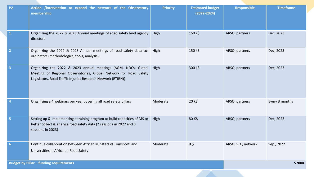| <b>P2</b>                                      | Action /intervention to expand the network of the Observatory<br>membership                                                                                                                        | <b>Priority</b> | <b>Estimated budget</b><br>$(2022 - 2024)$ | <b>Responsible</b> | <b>Timeframe</b> |
|------------------------------------------------|----------------------------------------------------------------------------------------------------------------------------------------------------------------------------------------------------|-----------------|--------------------------------------------|--------------------|------------------|
|                                                | Organizing the 2022 & 2023 Annual meetings of road safety lead agency<br>directors                                                                                                                 | High            | 150 k\$                                    | ARSO, partners     | Dec, 2023        |
|                                                | Organizing the 2022 & 2023 Annual meetings of road safety data co- High<br>ordinators (methodologies, tools, analysis);                                                                            |                 | 150 k\$                                    | ARSO, partners     | Dec, 2023        |
|                                                | Organizing the 2022 & 2023 annual meetings (AGM, NDCs, Global<br>Meeting of Regional Observatories, Global Network for Road Safety<br>Legislators, Road Traffic Injuries Research Network (RTIRN)) | High            | 300 k\$                                    | ARSO, partners     | Dec, 2023        |
|                                                | Organising a 4 webinars per year covering all road safety pillars                                                                                                                                  | Moderate        | 20 k\$                                     | ARSO, partners     | Every 3 months   |
| -5                                             | Setting up & implementing a training program to build capacities of MS to<br>better collect & analyse road safety data (2 sessions in 2022 and 3<br>sessions in 2023)                              | High            | 80 K\$                                     | ARSO, partners     | Dec, 2023        |
| 6                                              | Continue collaboration between African Minsters of Transport, and<br>Universities in Africa on Road Safety                                                                                         | Moderate        | $0\frac{1}{2}$                             | ARSO, STC, network | Sep., 2022       |
| <b>Budget by Pillar - funding requirements</b> |                                                                                                                                                                                                    |                 |                                            |                    | \$700K           |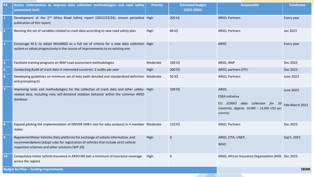| P <sub>3</sub> | Action /intervention to improve data collection methodologies and road safety<br>assessment tools                                                                                                                            | <b>Priority</b> | <b>Estimated budget</b><br>$(2022 - 2024)$ | <b>Responsible</b>                                                                                                               | <b>Timeframe</b>                   |
|----------------|------------------------------------------------------------------------------------------------------------------------------------------------------------------------------------------------------------------------------|-----------------|--------------------------------------------|----------------------------------------------------------------------------------------------------------------------------------|------------------------------------|
| $\mathbf{1}$   | Development of the 2 <sup>nd</sup> Africa Road Safety report (2022/23/24), ensure periodical High<br>publication of this report;                                                                                             |                 | 200 k\$                                    | ARSO, Partners                                                                                                                   | Every year                         |
| $\overline{2}$ | Revising the set of variables related to crash data according to new road safety plan                                                                                                                                        | High            | 60 k\$                                     | ARSO, Partners                                                                                                                   | Jan 2023                           |
| $\vert$ 3      | Encourage M.S. to adopt MiniARSO as a full set of criteria for a new data collection High<br>system or adopt progressively in the course of improvements to an existing one                                                  |                 | $\overline{\phantom{a}}$                   | <b>ARSO</b>                                                                                                                      | Every year                         |
| $\vert 4$      | Facilitate training programs on IRAP road assessment methodologies                                                                                                                                                           | Moderate        | 100 K\$                                    | ARSO, iRAP                                                                                                                       | Dec 2023                           |
| 5              | Conducting Audit of crash data in interested countries: 2 audits per year                                                                                                                                                    | High            | 200 K\$                                    | ARSO, partners (ITF)                                                                                                             | Dec 2023                           |
| 6              | Developing guidelines on minimum set of data (with detailed and standardized definition Moderate<br>and prompting it)                                                                                                        |                 | 50 K\$                                     | ARSO, Partners                                                                                                                   | June 2023                          |
| $\overline{7}$ | Improving tools and methodologies for the collection of crash data and other safety- High<br>related data, including risky self-declared violation behavior within the common ARSO<br>database                               |                 | 100 K\$                                    | ARSO,<br><b>ESRA</b> initiative<br>(ESRA3 data collection for 10<br>EU<br>countries, approx. 10,000 - 15,000 USD per<br>country) | <b>June 2023</b><br>Feb-March 2023 |
| 8              | Expand piloting the implementation of DRIVER (WB's tool for data analysis) in 4 member Moderate<br>states                                                                                                                    |                 | 120 K\$                                    | ARSO, Partners                                                                                                                   | Dec 2023                           |
| $\overline{9}$ | Registered Motor Vehicles Data platforms for exchange of vehicle information, and<br>recommendations (adopt rules for registration of vehicles that include strict vehicle<br>inspection schemes and other solutions (WP.29) | High            | $\mathbf 0$                                | ARSO, CITA, UNEP,<br><b>WHO</b>                                                                                                  | Sep't, 2022                        |
| <b>10</b>      | Compulsory motor vehicle insurance in ARSO MS (set a minimum of insurance coverage<br>across the region)                                                                                                                     | High            | $\mathbf 0$                                | ARSO, African Insurance Organization (AIO) Dec 2023                                                                              |                                    |
|                | <b>Budget by Pillar - funding requirements</b>                                                                                                                                                                               |                 | <b>\$830K</b>                              |                                                                                                                                  |                                    |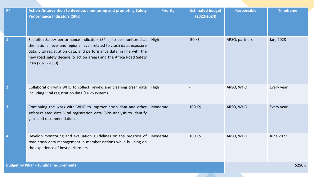| <b>P4</b>               | Action /intervention to develop, monitoring and promoting Safety<br><b>Performance Indicators (SPIs)</b>                                                                                                                                                                                                        | <b>Priority</b> | <b>Estimated budget</b><br>$(2022 - 2024)$ | <b>Responsible</b> | <b>Timeframe</b> |
|-------------------------|-----------------------------------------------------------------------------------------------------------------------------------------------------------------------------------------------------------------------------------------------------------------------------------------------------------------|-----------------|--------------------------------------------|--------------------|------------------|
| $\mathbf{1}$            | Establish Safety performance indicators (SPI's) to be monitored at<br>the national level and regional level, related to crash data, exposure<br>data, vital registration data, and performance data, in line with the<br>new road safety decade (5 action areas) and the Africa Road Safety<br>Plan (2021-2030) | High            | 50 k\$                                     | ARSO, partners     | Jan, 2023        |
| $\overline{2}$          | Collaboration with WHO to collect, review and cleaning crash data<br>including Vital registration data (CRVS system)                                                                                                                                                                                            | High            |                                            | ARSO, WHO          | Every year       |
| $\overline{\mathbf{3}}$ | Continuing the work with WHO to improve crash data and other<br>safety-related data Vital registration data (SPIs analysis to identify<br>gaps and recommendations)                                                                                                                                             | Moderate        | 100 K\$                                    | ARSO, WHO          | Every year       |
| $\overline{4}$          | Develop monitoring and evaluation guidelines on the progress of<br>road crash data management in member nations while building on<br>the experience of best performers                                                                                                                                          | Moderate        | 100 K\$                                    | ARSO, WHO          | <b>June 2023</b> |
|                         | <b>Budget by Pillar - funding requirements</b>                                                                                                                                                                                                                                                                  |                 | <b>\$250K</b>                              |                    |                  |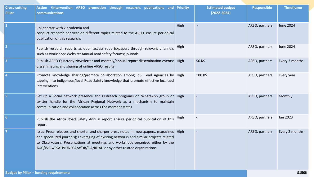| <b>Cross-cutting</b><br><b>Pillar</b>          | Action /intervention ARSO promotion through research, publications and<br>communications                                                                                                                                                                                                                                                        | <b>Priority</b> | <b>Estimated budget</b><br>$(2022 - 2024)$ | <b>Responsible</b> | <b>Timeframe</b> |
|------------------------------------------------|-------------------------------------------------------------------------------------------------------------------------------------------------------------------------------------------------------------------------------------------------------------------------------------------------------------------------------------------------|-----------------|--------------------------------------------|--------------------|------------------|
|                                                | Collaborate with 2 academia and<br>conduct research per year on different topics related to the ARSO, ensure periodical<br>publication of this research;                                                                                                                                                                                        | High            |                                            | ARSO, partners     | <b>June 2024</b> |
| $\overline{2}$                                 | Publish research reports as open access reports/papers through relevant channels<br>such as workshop; Website; Annual road safety forums; journals                                                                                                                                                                                              | High            |                                            | ARSO, partners     | <b>June 2024</b> |
| $\overline{\mathbf{3}}$                        | Publish ARSO Quarterly Newsletter and monthly/annual report dissemination events; High<br>disseminating and sharing of online ARSO results                                                                                                                                                                                                      |                 | 50 K\$                                     | ARSO, partners     | Every 3 months   |
|                                                | Promote knowledge sharing/promote collaboration among R.S. Lead Agencies by High<br>tapping into indigenous/local Road Safety knowledge that promote effective localized<br>interventions                                                                                                                                                       |                 | 100 K\$                                    | ARSO, partners     | Every year       |
|                                                | Set up a Social network presence and Outreach programs on WhatsApp group or High<br>twitter handle for the African Regional Network as a mechanism to maintain<br>communication and collaboration across the member states                                                                                                                      |                 |                                            | ARSO, partners     | Monthly          |
| -6                                             | Publish the Africa Road Safety Annual report ensure periodical publication of this<br>report                                                                                                                                                                                                                                                    | High            |                                            | ARSO, partners     | Jan 2023         |
|                                                | Issue Press releases and shorter and sharper press notes (in newspapers, magazines   High<br>and specialized journals); Leveraging of existing networks and similar projects related<br>to Observatory; Presentations at meetings and workshops organized either by the<br>AUC/WBG/SSATP/UNECA/AfDB/FiA/IRTAD or by other related organizations |                 |                                            | ARSO, partners     | Every 2 months   |
| <b>Budget by Pillar - funding requirements</b> |                                                                                                                                                                                                                                                                                                                                                 |                 |                                            |                    | \$150K           |